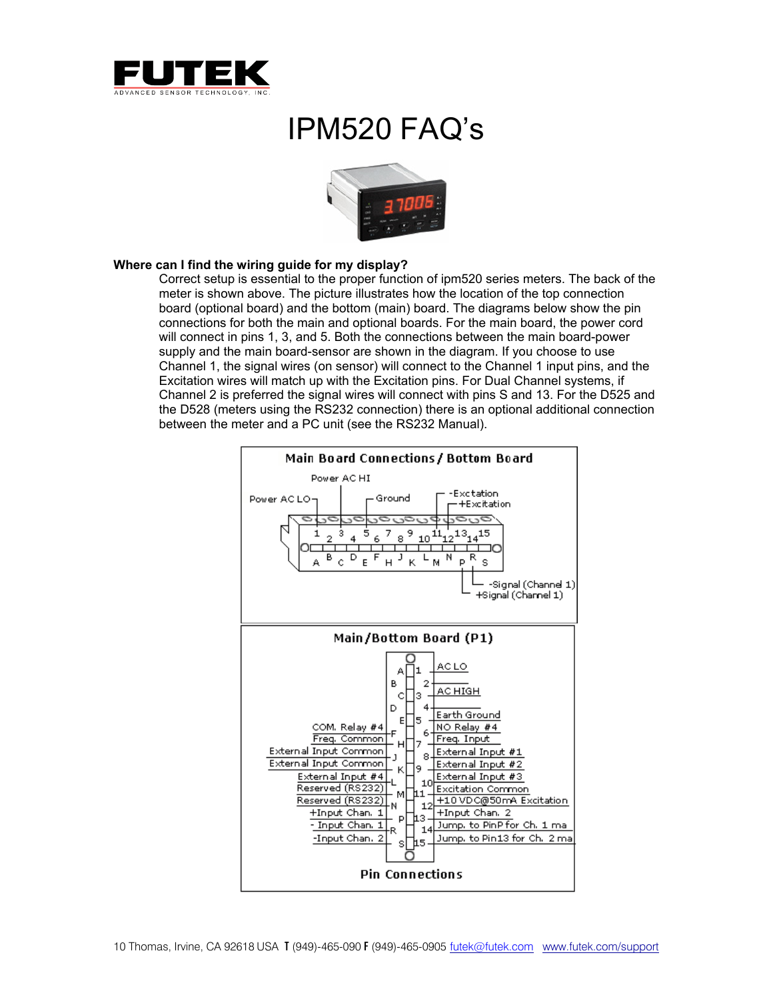

# IPM520 FAQ's



### **Where can I find the wiring guide for my display?**

Correct setup is essential to the proper function of ipm520 series meters. The back of the meter is shown above. The picture illustrates how the location of the top connection board (optional board) and the bottom (main) board. The diagrams below show the pin connections for both the main and optional boards. For the main board, the power cord will connect in pins 1, 3, and 5. Both the connections between the main board-power supply and the main board-sensor are shown in the diagram. If you choose to use Channel 1, the signal wires (on sensor) will connect to the Channel 1 input pins, and the Excitation wires will match up with the Excitation pins. For Dual Channel systems, if Channel 2 is preferred the signal wires will connect with pins S and 13. For the D525 and the D528 (meters using the RS232 connection) there is an optional additional connection between the meter and a PC unit (see the RS232 Manual).

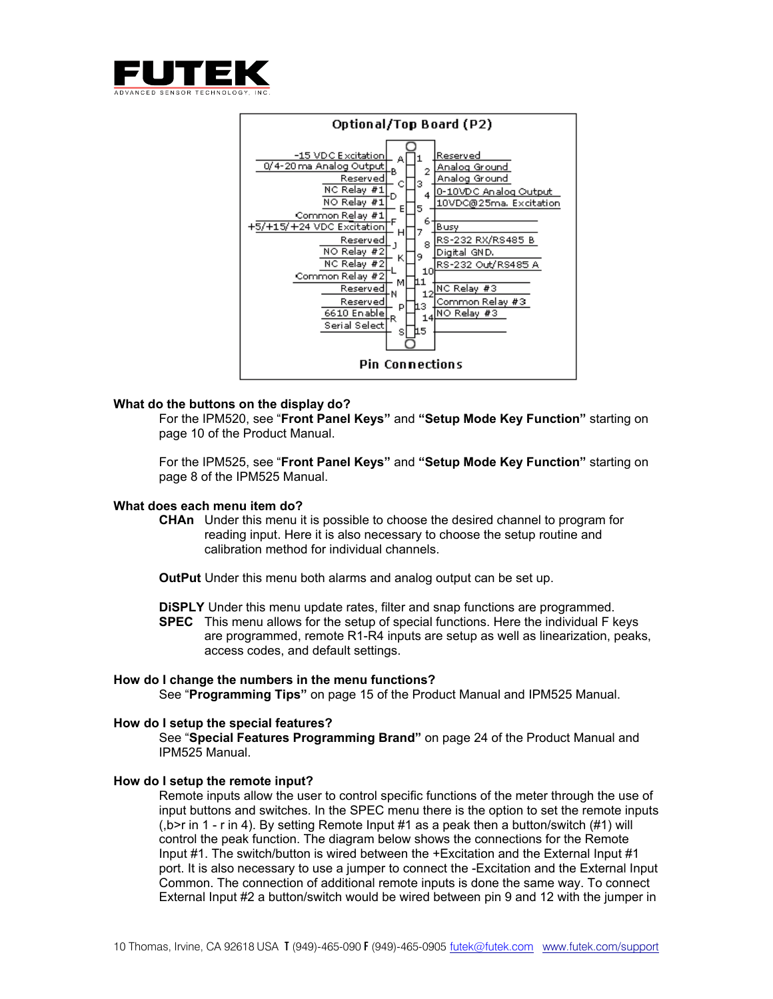



### **What do the buttons on the display do?**

For the IPM520, see "**Front Panel Keys"** and **"Setup Mode Key Function"** starting on page 10 of the Product Manual.

For the IPM525, see "**Front Panel Keys"** and **"Setup Mode Key Function"** starting on page 8 of the IPM525 Manual.

#### **What does each menu item do?**

**CHAn** Under this menu it is possible to choose the desired channel to program for reading input. Here it is also necessary to choose the setup routine and calibration method for individual channels.

**OutPut** Under this menu both alarms and analog output can be set up.

**DiSPLY** Under this menu update rates, filter and snap functions are programmed. **SPEC** This menu allows for the setup of special functions. Here the individual F keys are programmed, remote R1-R4 inputs are setup as well as linearization, peaks, access codes, and default settings.

#### **How do I change the numbers in the menu functions?**

See "**Programming Tips"** on page 15 of the Product Manual and IPM525 Manual.

#### **How do I setup the special features?**

See "**Special Features Programming Brand"** on page 24 of the Product Manual and IPM525 Manual.

#### **How do I setup the remote input?**

Remote inputs allow the user to control specific functions of the meter through the use of input buttons and switches. In the SPEC menu there is the option to set the remote inputs (,b>r in 1 - r in 4). By setting Remote Input #1 as a peak then a button/switch (#1) will control the peak function. The diagram below shows the connections for the Remote Input #1. The switch/button is wired between the +Excitation and the External Input #1 port. It is also necessary to use a jumper to connect the -Excitation and the External Input Common. The connection of additional remote inputs is done the same way. To connect External Input #2 a button/switch would be wired between pin 9 and 12 with the jumper in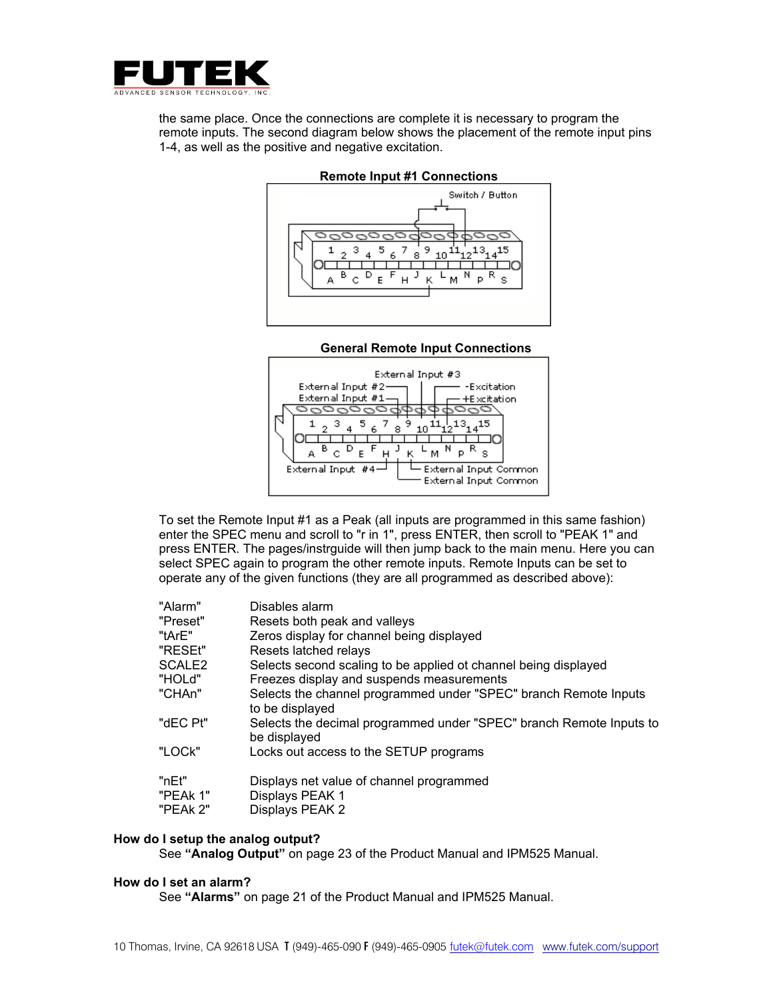

the same place. Once the connections are complete it is necessary to program the remote inputs. The second diagram below shows the placement of the remote input pins 1-4, as well as the positive and negative excitation.



### **Remote Input #1 Connections**

# **General Remote Input Connections**



To set the Remote Input #1 as a Peak (all inputs are programmed in this same fashion) enter the SPEC menu and scroll to "r in 1", press ENTER, then scroll to "PEAK 1" and press ENTER. The pages/instrguide will then jump back to the main menu. Here you can select SPEC again to program the other remote inputs. Remote Inputs can be set to operate any of the given functions (they are all programmed as described above):

| "Alarm"                       | Disables alarm                                                                      |
|-------------------------------|-------------------------------------------------------------------------------------|
| "Preset"                      | Resets both peak and valleys                                                        |
| "tArE"                        | Zeros display for channel being displayed                                           |
| "RESEt"                       | Resets latched relays                                                               |
| SCALE <sub>2</sub>            | Selects second scaling to be applied ot channel being displayed                     |
| "HOLd"                        | Freezes display and suspends measurements                                           |
| "CHAn"                        | Selects the channel programmed under "SPEC" branch Remote Inputs<br>to be displayed |
| "dEC Pt"                      | Selects the decimal programmed under "SPEC" branch Remote Inputs to<br>be displayed |
| "LOCk"                        | Locks out access to the SETUP programs                                              |
| "nEt"<br>"PEAk 1"<br>"PEAk 2" | Displays net value of channel programmed<br>Displays PEAK 1<br>Displays PEAK 2      |

#### **How do I setup the analog output?**

See **"Analog Output"** on page 23 of the Product Manual and IPM525 Manual.

#### **How do I set an alarm?**

See **"Alarms"** on page 21 of the Product Manual and IPM525 Manual.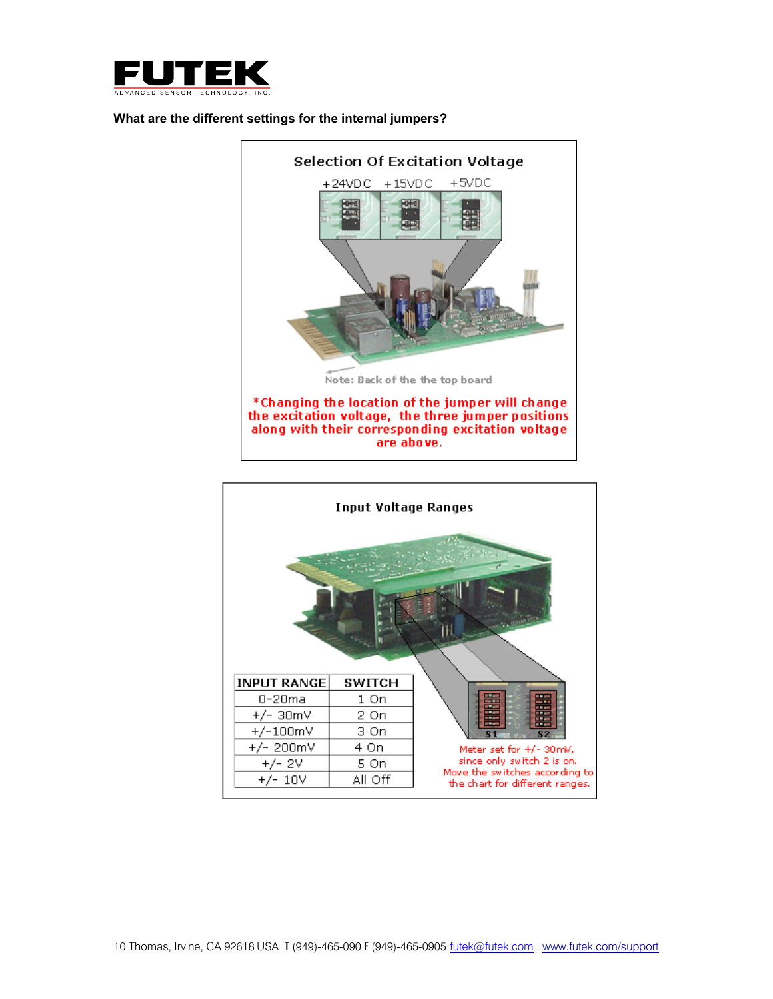

# **What are the different settings for the internal jumpers?**



are above.

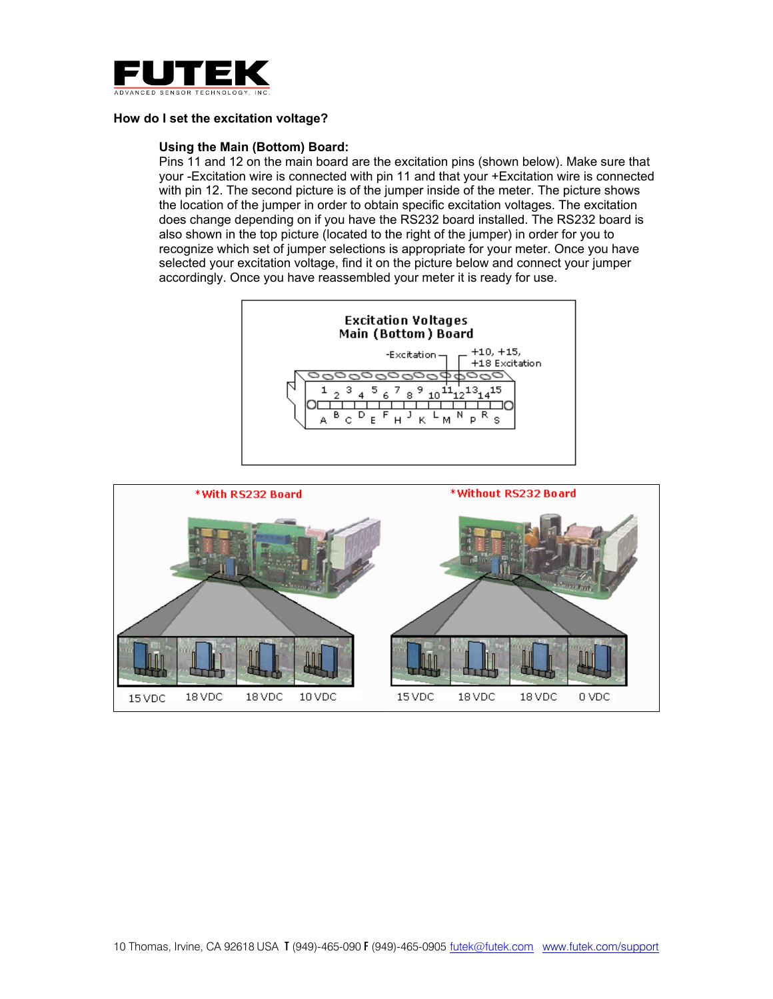

# **How do I set the excitation voltage?**

# **Using the Main (Bottom) Board:**

Pins 11 and 12 on the main board are the excitation pins (shown below). Make sure that your -Excitation wire is connected with pin 11 and that your +Excitation wire is connected with pin 12. The second picture is of the jumper inside of the meter. The picture shows the location of the jumper in order to obtain specific excitation voltages. The excitation does change depending on if you have the RS232 board installed. The RS232 board is also shown in the top picture (located to the right of the jumper) in order for you to recognize which set of jumper selections is appropriate for your meter. Once you have selected your excitation voltage, find it on the picture below and connect your jumper accordingly. Once you have reassembled your meter it is ready for use.